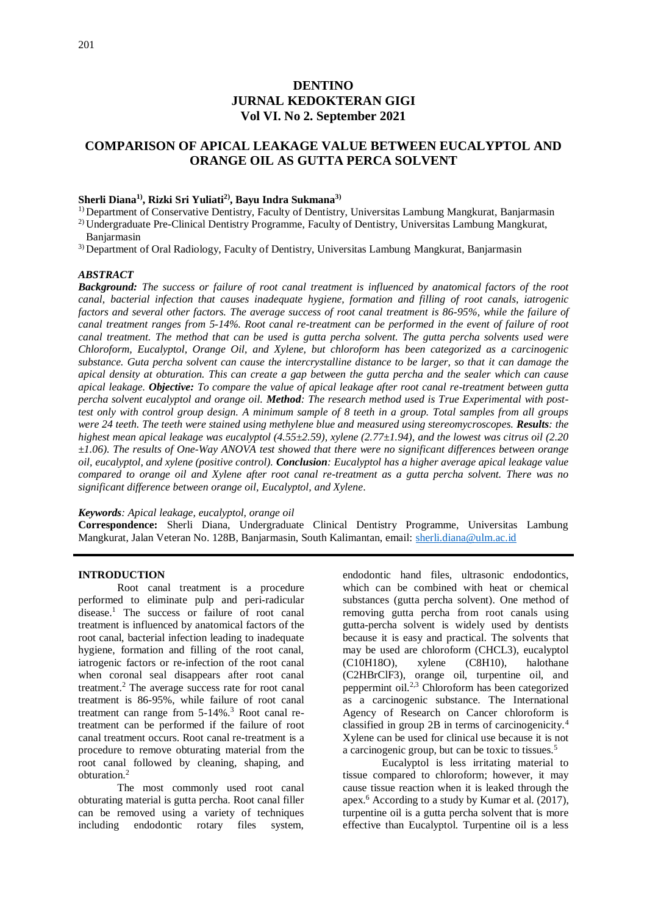# **DENTINO JURNAL KEDOKTERAN GIGI Vol VI. No 2. September 2021**

# **COMPARISON OF APICAL LEAKAGE VALUE BETWEEN EUCALYPTOL AND ORANGE OIL AS GUTTA PERCA SOLVENT**

### **Sherli Diana1), Rizki Sri Yuliati2) , Bayu Indra Sukmana3)**

1) Department of Conservative Dentistry, Faculty of Dentistry, Universitas Lambung Mangkurat, Banjarmasin

2) Undergraduate Pre-Clinical Dentistry Programme, Faculty of Dentistry, Universitas Lambung Mangkurat, Banjarmasin

3) Department of Oral Radiology, Faculty of Dentistry, Universitas Lambung Mangkurat, Banjarmasin

#### *ABSTRACT*

*Background: The success or failure of root canal treatment is influenced by anatomical factors of the root canal, bacterial infection that causes inadequate hygiene, formation and filling of root canals, iatrogenic factors and several other factors. The average success of root canal treatment is 86-95%, while the failure of canal treatment ranges from 5-14%. Root canal re-treatment can be performed in the event of failure of root canal treatment. The method that can be used is gutta percha solvent. The gutta percha solvents used were Chloroform, Eucalyptol, Orange Oil, and Xylene, but chloroform has been categorized as a carcinogenic substance. Guta percha solvent can cause the intercrystalline distance to be larger, so that it can damage the apical density at obturation. This can create a gap between the gutta percha and the sealer which can cause apical leakage. Objective: To compare the value of apical leakage after root canal re-treatment between gutta percha solvent eucalyptol and orange oil. Method: The research method used is True Experimental with posttest only with control group design. A minimum sample of 8 teeth in a group. Total samples from all groups were 24 teeth. The teeth were stained using methylene blue and measured using stereomycroscopes. Results: the highest mean apical leakage was eucalyptol (4.55±2.59), xylene (2.77±1.94), and the lowest was citrus oil (2.20 ±1.06). The results of One-Way ANOVA test showed that there were no significant differences between orange oil, eucalyptol, and xylene (positive control). Conclusion: Eucalyptol has a higher average apical leakage value compared to orange oil and Xylene after root canal re-treatment as a gutta percha solvent. There was no significant difference between orange oil, Eucalyptol, and Xylene*.

*Keywords: Apical leakage, eucalyptol, orange oil*

**Correspondence:** Sherli Diana, Undergraduate Clinical Dentistry Programme, Universitas Lambung Mangkurat, Jalan Veteran No. 128B, Banjarmasin, South Kalimantan, email: [sherli.diana@ulm.ac.id](mailto:sherli.diana@ulm.ac.id)

#### **INTRODUCTION**

Root canal treatment is a procedure performed to eliminate pulp and peri-radicular disease.<sup>1</sup> The success or failure of root canal treatment is influenced by anatomical factors of the root canal, bacterial infection leading to inadequate hygiene, formation and filling of the root canal, iatrogenic factors or re-infection of the root canal when coronal seal disappears after root canal treatment.<sup>2</sup> The average success rate for root canal treatment is 86-95%, while failure of root canal treatment can range from 5-14%.<sup>3</sup> Root canal retreatment can be performed if the failure of root canal treatment occurs. Root canal re-treatment is a procedure to remove obturating material from the root canal followed by cleaning, shaping, and obturation.<sup>2</sup>

The most commonly used root canal obturating material is gutta percha. Root canal filler can be removed using a variety of techniques including endodontic rotary files system,

endodontic hand files, ultrasonic endodontics, which can be combined with heat or chemical substances (gutta percha solvent). One method of removing gutta percha from root canals using gutta-percha solvent is widely used by dentists because it is easy and practical. The solvents that may be used are chloroform (CHCL3), eucalyptol (C10H18O), xylene (C8H10), halothane (C10H18O), xylene (C8H10), halothane (C2HBrClF3), orange oil, turpentine oil, and peppermint oil.2,3 Chloroform has been categorized as a carcinogenic substance. The International Agency of Research on Cancer chloroform is classified in group 2B in terms of carcinogenicity.<sup>4</sup> Xylene can be used for clinical use because it is not a carcinogenic group, but can be toxic to tissues.<sup>5</sup>

Eucalyptol is less irritating material to tissue compared to chloroform; however, it may cause tissue reaction when it is leaked through the apex.<sup>6</sup> According to a study by Kumar et al. (2017), turpentine oil is a gutta percha solvent that is more effective than Eucalyptol. Turpentine oil is a less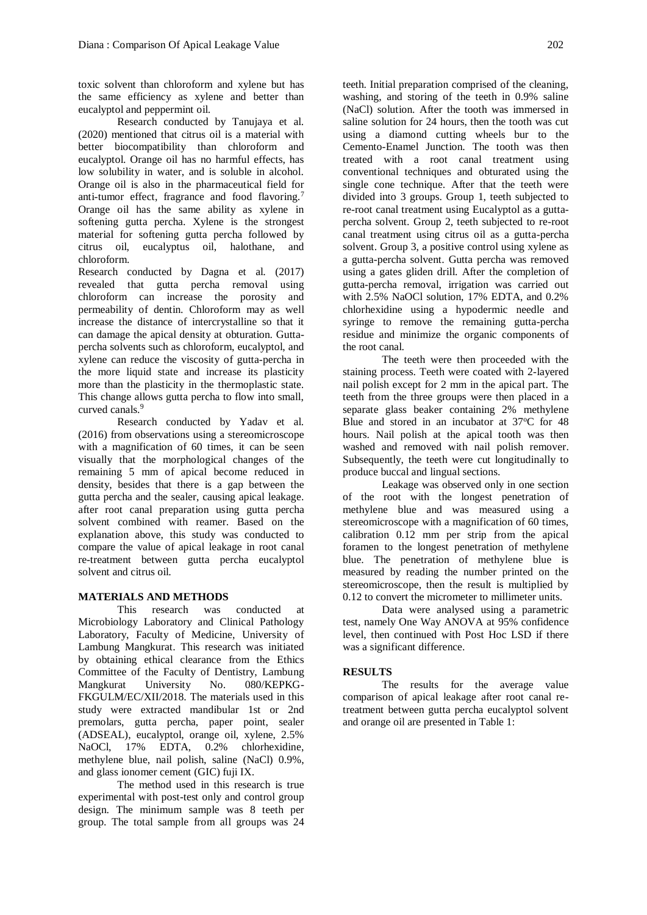toxic solvent than chloroform and xylene but has the same efficiency as xylene and better than eucalyptol and peppermint oil.

Research conducted by Tanujaya et al. (2020) mentioned that citrus oil is a material with better biocompatibility than chloroform and eucalyptol. Orange oil has no harmful effects, has low solubility in water, and is soluble in alcohol. Orange oil is also in the pharmaceutical field for anti-tumor effect, fragrance and food flavoring.<sup>7</sup> Orange oil has the same ability as xylene in softening gutta percha. Xylene is the strongest material for softening gutta percha followed by citrus oil, eucalyptus oil, halothane, and chloroform.

Research conducted by Dagna et al. (2017) revealed that gutta percha removal using chloroform can increase the porosity and permeability of dentin. Chloroform may as well increase the distance of intercrystalline so that it can damage the apical density at obturation. Guttapercha solvents such as chloroform, eucalyptol, and xylene can reduce the viscosity of gutta-percha in the more liquid state and increase its plasticity more than the plasticity in the thermoplastic state. This change allows gutta percha to flow into small, curved canals.<sup>9</sup>

Research conducted by Yadav et al. (2016) from observations using a stereomicroscope with a magnification of 60 times, it can be seen visually that the morphological changes of the remaining 5 mm of apical become reduced in density, besides that there is a gap between the gutta percha and the sealer, causing apical leakage. after root canal preparation using gutta percha solvent combined with reamer. Based on the explanation above, this study was conducted to compare the value of apical leakage in root canal re-treatment between gutta percha eucalyptol solvent and citrus oil.

### **MATERIALS AND METHODS**

This research was conducted at Microbiology Laboratory and Clinical Pathology Laboratory, Faculty of Medicine, University of Lambung Mangkurat. This research was initiated by obtaining ethical clearance from the Ethics Committee of the Faculty of Dentistry, Lambung Mangkurat University No. 080/KEPKG-FKGULM/EC/XII/2018. The materials used in this study were extracted mandibular 1st or 2nd premolars, gutta percha, paper point, sealer (ADSEAL), eucalyptol, orange oil, xylene, 2.5% NaOCl, 17% EDTA, 0.2% chlorhexidine, methylene blue, nail polish, saline (NaCl) 0.9%, and glass ionomer cement (GIC) fuji IX.

The method used in this research is true experimental with post-test only and control group design. The minimum sample was 8 teeth per group. The total sample from all groups was 24

teeth. Initial preparation comprised of the cleaning, washing, and storing of the teeth in 0.9% saline (NaCl) solution. After the tooth was immersed in saline solution for 24 hours, then the tooth was cut using a diamond cutting wheels bur to the Cemento-Enamel Junction. The tooth was then treated with a root canal treatment using conventional techniques and obturated using the single cone technique. After that the teeth were divided into 3 groups. Group 1, teeth subjected to re-root canal treatment using Eucalyptol as a guttapercha solvent. Group 2, teeth subjected to re-root canal treatment using citrus oil as a gutta-percha solvent. Group 3, a positive control using xylene as a gutta-percha solvent. Gutta percha was removed using a gates gliden drill. After the completion of gutta-percha removal, irrigation was carried out with 2.5% NaOCl solution, 17% EDTA, and 0.2% chlorhexidine using a hypodermic needle and syringe to remove the remaining gutta-percha residue and minimize the organic components of the root canal.

The teeth were then proceeded with the staining process. Teeth were coated with 2-layered nail polish except for 2 mm in the apical part. The teeth from the three groups were then placed in a separate glass beaker containing 2% methylene Blue and stored in an incubator at  $37^{\circ}$ C for 48 hours. Nail polish at the apical tooth was then washed and removed with nail polish remover. Subsequently, the teeth were cut longitudinally to produce buccal and lingual sections.

Leakage was observed only in one section of the root with the longest penetration of methylene blue and was measured using a stereomicroscope with a magnification of 60 times, calibration 0.12 mm per strip from the apical foramen to the longest penetration of methylene blue. The penetration of methylene blue is measured by reading the number printed on the stereomicroscope, then the result is multiplied by 0.12 to convert the micrometer to millimeter units.

Data were analysed using a parametric test, namely One Way ANOVA at 95% confidence level, then continued with Post Hoc LSD if there was a significant difference.

#### **RESULTS**

The results for the average value comparison of apical leakage after root canal retreatment between gutta percha eucalyptol solvent and orange oil are presented in Table 1: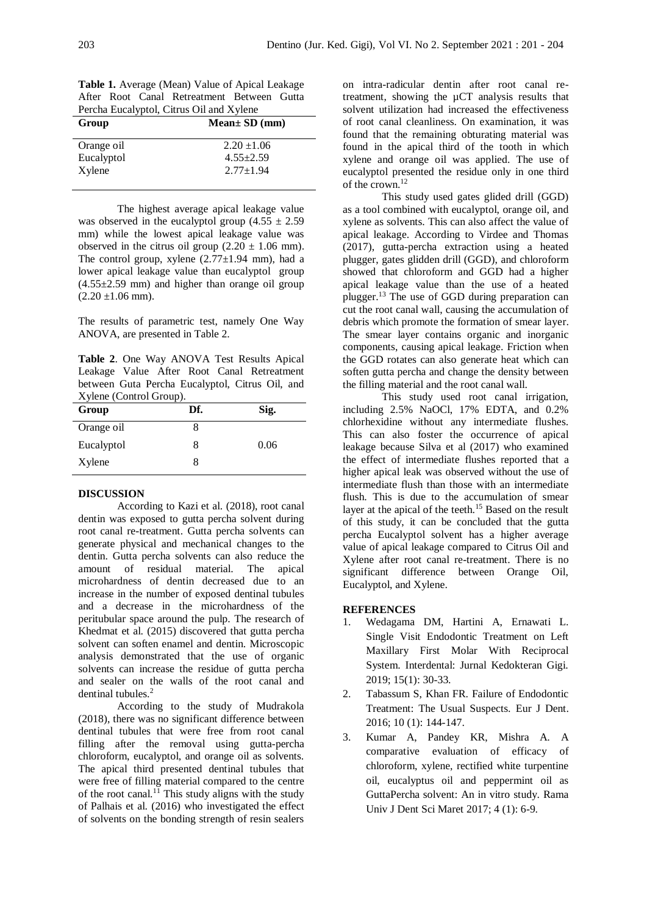**Table 1.** Average (Mean) Value of Apical Leakage After Root Canal Retreatment Between Gutta Percha Eucalyptol, Citrus Oil and Xylene

| $Mean \pm SD$ (mm) |
|--------------------|
| $2.20 \pm 1.06$    |
| $4.55 + 2.59$      |
| $2.77 \pm 1.94$    |
|                    |

The highest average apical leakage value was observed in the eucalyptol group  $(4.55 \pm 2.59)$ mm) while the lowest apical leakage value was observed in the citrus oil group  $(2.20 \pm 1.06 \text{ mm})$ . The control group, xylene  $(2.77 \pm 1.94 \text{ mm})$ , had a lower apical leakage value than eucalyptol group  $(4.55\pm2.59$  mm) and higher than orange oil group  $(2.20 \pm 1.06 \text{ mm})$ .

The results of parametric test, namely One Way ANOVA, are presented in Table 2.

**Table 2**. One Way ANOVA Test Results Apical Leakage Value After Root Canal Retreatment between Guta Percha Eucalyptol, Citrus Oil, and Xylene (Control Group).

| Df. | Sig. |
|-----|------|
|     |      |
| 8   | 0.06 |
|     |      |
|     |      |

### **DISCUSSION**

According to Kazi et al. (2018), root canal dentin was exposed to gutta percha solvent during root canal re-treatment. Gutta percha solvents can generate physical and mechanical changes to the dentin. Gutta percha solvents can also reduce the amount of residual material. The apical microhardness of dentin decreased due to an increase in the number of exposed dentinal tubules and a decrease in the microhardness of the peritubular space around the pulp. The research of Khedmat et al. (2015) discovered that gutta percha solvent can soften enamel and dentin. Microscopic analysis demonstrated that the use of organic solvents can increase the residue of gutta percha and sealer on the walls of the root canal and dentinal tubules.<sup>2</sup>

According to the study of Mudrakola (2018), there was no significant difference between dentinal tubules that were free from root canal filling after the removal using gutta-percha chloroform, eucalyptol, and orange oil as solvents. The apical third presented dentinal tubules that were free of filling material compared to the centre of the root canal.<sup>11</sup> This study aligns with the study of Palhais et al. (2016) who investigated the effect of solvents on the bonding strength of resin sealers

on intra-radicular dentin after root canal retreatment, showing the µCT analysis results that solvent utilization had increased the effectiveness of root canal cleanliness. On examination, it was found that the remaining obturating material was found in the apical third of the tooth in which xylene and orange oil was applied. The use of eucalyptol presented the residue only in one third of the crown.<sup>12</sup>

This study used gates glided drill (GGD) as a tool combined with eucalyptol, orange oil, and xylene as solvents. This can also affect the value of apical leakage. According to Virdee and Thomas (2017), gutta-percha extraction using a heated plugger, gates glidden drill (GGD), and chloroform showed that chloroform and GGD had a higher apical leakage value than the use of a heated plugger.<sup>13</sup> The use of GGD during preparation can cut the root canal wall, causing the accumulation of debris which promote the formation of smear layer. The smear layer contains organic and inorganic components, causing apical leakage. Friction when the GGD rotates can also generate heat which can soften gutta percha and change the density between the filling material and the root canal wall.

This study used root canal irrigation, including 2.5% NaOCl, 17% EDTA, and 0.2% chlorhexidine without any intermediate flushes. This can also foster the occurrence of apical leakage because Silva et al (2017) who examined the effect of intermediate flushes reported that a higher apical leak was observed without the use of intermediate flush than those with an intermediate flush. This is due to the accumulation of smear layer at the apical of the teeth.<sup>15</sup> Based on the result of this study, it can be concluded that the gutta percha Eucalyptol solvent has a higher average value of apical leakage compared to Citrus Oil and Xylene after root canal re-treatment. There is no significant difference between Orange Oil, Eucalyptol, and Xylene.

#### **REFERENCES**

- 1. Wedagama DM, Hartini A, Ernawati L. Single Visit Endodontic Treatment on Left Maxillary First Molar With Reciprocal System. Interdental: Jurnal Kedokteran Gigi. 2019; 15(1): 30-33.
- 2. Tabassum S, Khan FR. Failure of Endodontic Treatment: The Usual Suspects. Eur J Dent. 2016; 10 (1): 144-147.
- 3. Kumar A, Pandey KR, Mishra A*.* A comparative evaluation of efficacy of chloroform, xylene, rectified white turpentine oil, eucalyptus oil and peppermint oil as GuttaPercha solvent: An in vitro study. Rama Univ J Dent Sci Maret 2017; 4 (1): 6-9.